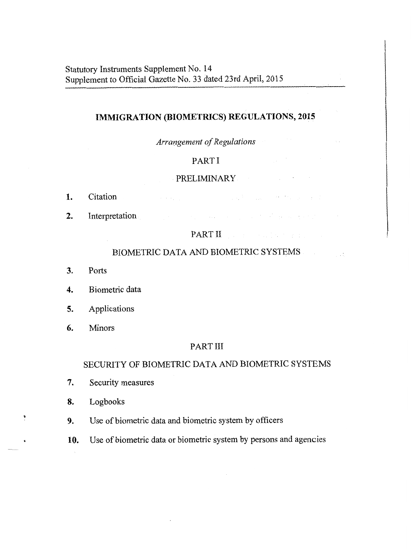# **IMMIGRATION (BIOMETRICS) REGULATIONS, 2015**

### *Arrangement of Regulations*

# PART I

# PRELIMINARY **PRELIMINARY**

 $\sigma$  and  $\sigma$  are  $\sigma$  and  $\sigma$  are  $\sigma$  and  $\sigma$  . The contribution of  $\sigma$ 

and the company of the second state of the second state of the second state of the second state of the second state of the second state of the second state of the second state of the second state of the second state of the

- Citation 1.
- $2.$ Interpretation

### PART II

# BIOMETRIC DATA AND BIOMETRIC SYSTEMS

- 3. Ports
- $\ddot{4}$ . Biometric data
- Applications 5.
- 6. Minors

### PART 111

## SECURITY OF BIOMETRIC DATA AND BIOMETRIC SYSTEMS

- 7. Security measures
- 8. Logbooks
- Use of biometric data and biometric system by officers 9.
- **10.** Use of biometric data or biometric system by persons and agencies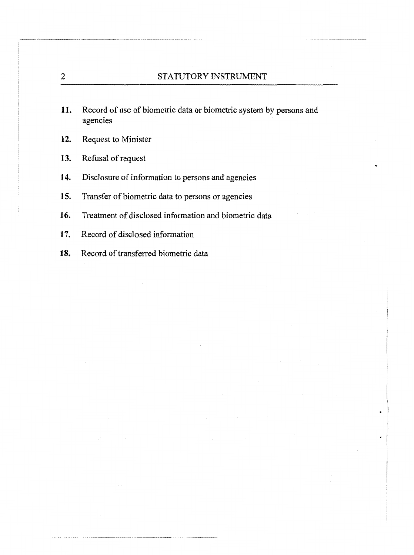- 11. Record of use of biometric data or biometric system by persons and agencies
- 12. Request to Minister
- 13. Refusal of request
- 14. Disclosure of information to persons and agencies
- 15. Transfer of biometric data to persons or agencies
- 16. Treatment of disclosed information and biometric data
- 17. Record of disclosed information
- 18. Record of transferred biometric data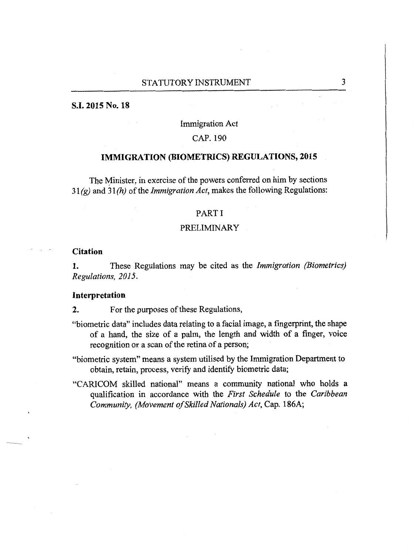#### **S.I. 2015 No. 18**

### Immigration Act

#### CAP. 190

### **IMMIGRATION (BIOMETRICS) REGULATIONS, 2015**

The Minister, in exercise of the powers conferred on him by sections 3 1 *(g)* and *3* **1** *(h)* of *the Immigration* Act, makes the following Regulations:

#### PART I

#### PRELIMINARY

#### **Citation**

**1.** These Regulations may be cited as the *Immigration (Biometries) Regulations, 2015.* 

#### **Interpretation**

**2.** For the purposes of these Regulations,

- "biometric data" includes data relating to a facial image, a fingerprint, the shape of a hand, the size of a palm, the length and width of a finger, voice recognition or a scan of the retina of a person;
- "biometric system" means a system utilised by the Immigration Department to obtain, retain, process, verify and identify biometric data;
- "CARICOM skilled national" means a community national who holds a qualification in accordance with the *First Schedule* to the *Caribbean Community, (Movement of Skilled Nationals}* Act, Cap. **186A;**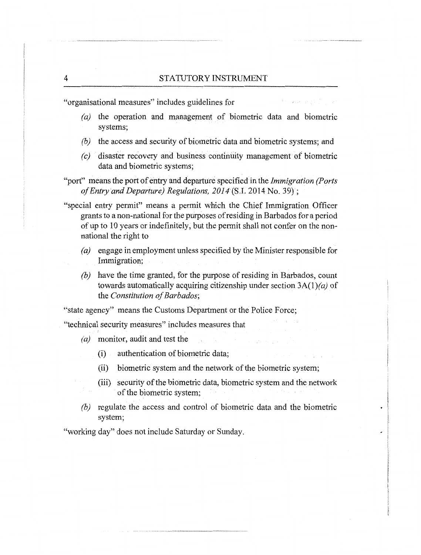$2.5 - 2.12 - 2.12$ 

"organisational measures" includes guidelines for

- (a) the operation and management of biometric data and biometric systems;
- (b) the access and security of biometric data and biometric systems; and
- (c) disaster recovery and business continuity management of biometric data and biometric systems;
- "port" means the port of entry and departure specified in the Immigration (Ports of Entry and Departure) Regulations, 2014 (S.I. 2014 No. 39);
- "special entry permit" means a permit which the Chief Immigration Officer grants to a non-national for the purposes of residing in Barbados for a period of up to 10 years or indefinitely, but the permit shall not confer on the nonnational the right to
	- (aj engage in employment unless specified by the Minister responsible for Immigration;
	- $(b)$  have the time granted, for the purpose of residing in Barbados, count towards automatically acquiring citizenship under section  $3A(1)(a)$  of the Constitution of Barbados;

"state agency" means the Customs Department or the Police Force;

"technical security measures" includes measures that

- (a) monitor, audit and test the
	- (i) authentication of biometric data;
	- (ii) biometric system and the network of the biometric system;
	- (iii) security of the biometric data, biometric system and the network of the biometric system;
- (b) regulate the access and control of biometric data and the biometric system;

"working day" does not include Saturday or Sunday.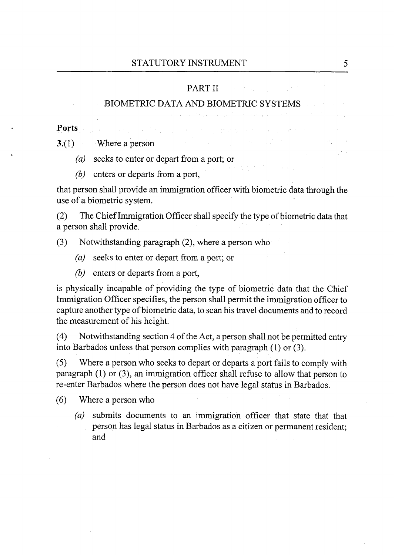### PART II

## BIOMETRIC DATA AND BIOMETRIC SYSTEMS

فعللته والمتواطن والمستنقل والمتعارف والمتواطن فلاستناء والمتعارف والمتعارف

 $\label{eq:2.1} \mathcal{L}_{\mathbf{A}}(\mathbf{x}) = \mathcal{L}_{\mathbf{A}}(\mathbf{x}) + \mathcal{L}_{\mathbf{A}}(\mathbf{x}) + \mathcal{L}_{\mathbf{A}}(\mathbf{x}) + \mathcal{L}_{\mathbf{A}}(\mathbf{x}) + \mathcal{L}_{\mathbf{A}}(\mathbf{x})$ 

**Ports** 

 $3(1)$  Where a person

- *(a)* seeks to enter or depart from a port; or
- (b) enters or departs from a port,

that person shall provide an immigration officer with biometric data through the use of a biometric system.

(2) The Chief Immigration Officer shall specify the type of biometric data that a person shall provide.

(3) Notwithstanding paragraph (2), where a person who

- *(a)* seeks to enter or depart from a port; or
- (b) enters or departs from a port,

is physically incapable of providing the type of biometric data that the Chief Immigration Officer specifies, the person shall permit the immigration officer to capture another type of biometric data, to scan his travel documents and to record the measurement of his height.

(4) Notwithstanding section 4 of the Act, a person shall not be permitted entry into Barbados unless that person complies with paragraph (1) or (3).

**(5)** Where a person who seeks to depart or departs a port fails to comply with paragraph (1) or (3), an immigration officer shall refuse to allow that person to re-enter Barbados where the person does not have legal status in Barbados.

(6) Where a person who

*(a)* submits documents to an immigration officer that state that that person has legal status in Barbados as a citizen or permanent resident; and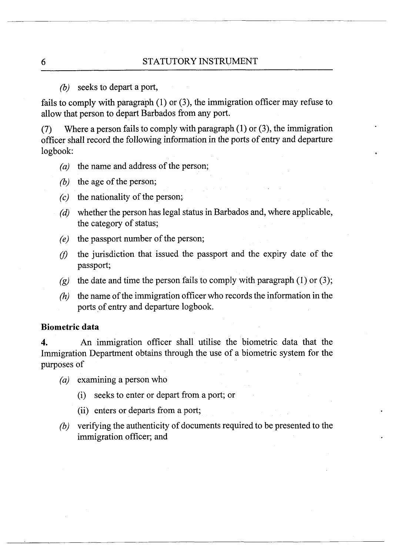### (b) seeks to depart a port,

fails to comply with paragraph (1) or (3), the immigration officer may refuse to allow that person to depart Barbados from any port.

(7) Where a person fails to comply with paragraph  $(1)$  or  $(3)$ , the immigration officer shall record the following information in the ports of entry and departure logbook:

- *(a)* the name and address of the person;
- (b) the age of the person;
- $\zeta$  the nationality of the person;
- (d) whether the person has legal status in Barbados and, where applicable, the category of status;
- *(e)* the passport number of the person;
- $f(t)$  the jurisdiction that issued the passport and the expiry date of the passport;
- (g) the date and time the person fails to comply with paragraph  $(1)$  or  $(3)$ ;
- *(h)* the name of the immigration officer who records the information in the ports of entry and departure logbook.

### **Biometric data**

**4.** An immigration officer shall utilise the biometric data that the Immigration Department obtains through the use of a biometric system for the purposes of

- *(a)* examining a person who
	- (i) seeks to enter or depart from a port; or
	- (ii) enters or departs from a port;
- *(b)* verifying the authenticity of documents required to be presented to the immigration officer; and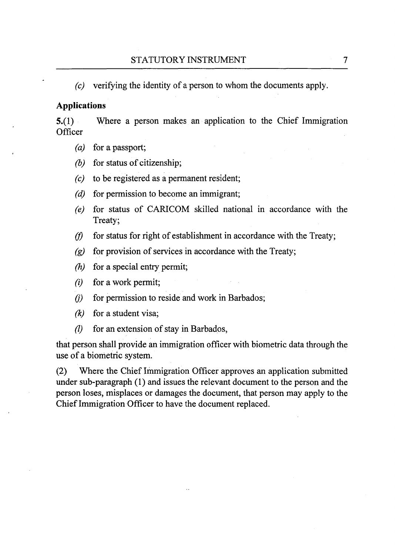$(c)$  verifying the identity of a person to whom the documents apply.

### **Applications**

Where a person makes an application to the Chief Immigration  $5(1)$ Officer

- $(a)$ for a passport;
- $(b)$ for status of citizenship;
- to be registered as a permanent resident;  $(c)$
- for permission to become an immigrant;  $(d)$
- for status of CARICOM skilled national in accordance with the  $(e)$ Treaty;
- for status for right of establishment in accordance with the Treaty;  $(f)$
- for provision of services in accordance with the Treaty;  $\left( g\right)$
- $(h)$ for a special entry permit;
- $(i)$ for a work permit;
- $(i)$ for permission to reside and work in Barbados;
- $(k)$ for a student visa;
- $\mathcal{U}$ for an extension of stay in Barbados,

that person shall provide an immigration officer with biometric data through the use of a biometric system.

(2) Where the Chief Immigration Officer approves an application submitted under sub-paragraph (1) and issues the relevant document to the person and the person loses, misplaces or damages the document, that person may apply to the Chief Immigration Officer to have the document replaced.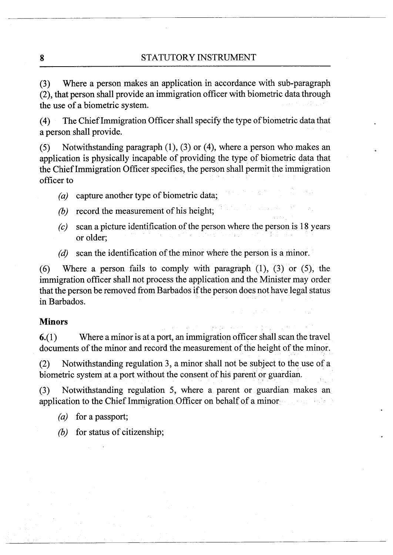8 STATUTORY INSTRUMENT

**(3)** Where a person makes an application in accordance with sub-paragraph (2), that person shall provide an immigration officer with biometric data through the use of a biometric system.

(4) The Chief Immigration Officer shall specify the type of biometric data that a person shall provide.

(5) Notwithstanding paragraph (I), (3) or (4), where a person who makes an application is physically incapable of providing the type of biometric data that the Chief Immigration Officer specifies, the person shall permit the immigration officer to

- *(a)* capture another type of biometric data;
- (b) record the measurement of his height;
- $(c)$  scan a picture identification of the person where the person is 18 years or older;
- (d) scan the identification of the minor where the person is a minor.

*(6)* Where a person fails to comply with paragraph (I), (3) or **(9,** the immigration officer shall not process the application and the Minister may order that the person be removed from Barbados if the person does not have legal status in Barbados.

### **Minors**

 $6-(1)$  Where a minor is at a port, an immigration officer shall scan the travel documents of the minor and record the measurement of the height of the minor.

(2) Notwithstanding regulation 3, a minor shall not be subject to the use of a biometric system at a port without the consent of his parent or guardian.

(3) Notwithstanding regulation 5, where a parent or guardian makes an application to the Chief Immigration Officer on behalf of a minor

*(a)* for a passport;

(b) for status of citizenship;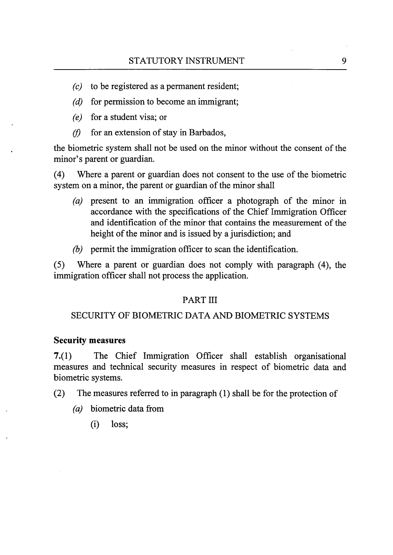- $(c)$  to be registered as a permanent resident;
- $(d)$  for permission to become an immigrant;
- *(e)* for a student visa; or
- $(f)$  for an extension of stay in Barbados,

the biometric system shall not be used on the minor without the consent of the minor's parent or guardian.

(4) Where a parent or guardian does not consent to the use of the biometric system on a minor, the parent or guardian of the minor shall

- *(a)* present to an immigration officer a photograph of the minor in accordance with the specifications of the Chief Immigration Officer and identification of the minor that contains the measurement of the height of the minor and is issued by a jurisdiction; and
- *(b)* permit the immigration officer to scan the identification.

**(5)** Where a parent or guardian does not comply with paragraph (4), the immigration officer shall not process the application.

## PART III

## SECURITY OF BIOMETRIC DATA AND BIOMETRIC SYSTEMS

### **Security measures**

**7.(1)** The Chief Immigration Officer shall establish organisational measures and technical security measures in respect of biometric data and biometric systems.

- *(2)* The measures referred to in paragraph (1) shall be for the protection of
	- *(a)* biometric data from
		- (i) loss;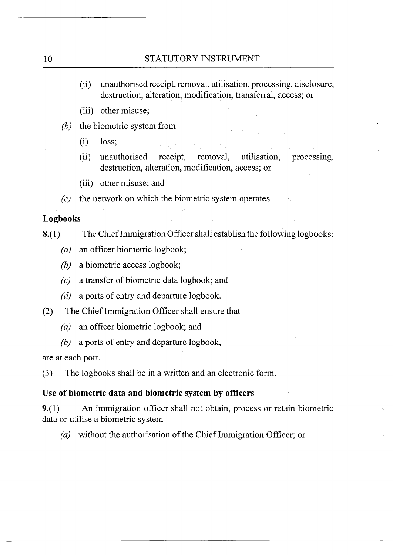- (ii) unauthorised receipt, removal, utilisation, processing, disclosure, destruction, alteration, modification, transferral, access; or
- (iii) other misuse;
- $(b)$  the biometric system from
	- (i) loss;
	- (ii) unauthorised receipt, removal, utilisation, processing, destruction, alteration, modification, access; or
	- (iii) other misuse; and
- (c) the network on which the biometric system operates.

# **Logbooks**

- 8.(1) The Chief Immigration Officer shall establish the following logbooks:
	- *(a)* an officer biometric logbook;
	- (b) a biometric access logbook;
	- (c) a transfer of biometric data logbook; and
	- *(d)* a ports of entry and departure logbook.
- (2) The Chief Immigration Officer shall ensure that
	- *(a)* an officer biometric logbook; and
	- (b) a ports of entry and departure logbook,

are at each port.

(3) The logbooks shall be in a written and an electronic form.

# **Use of biometric data and biometric system by officers**

9.(1) An immigration officer shall not obtain, process or retain biometric data or utilise a biometric system

*(a)* without the authorisation of the Chief Immigration Officer; or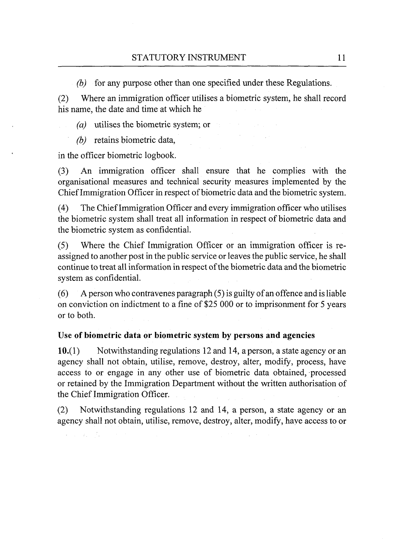(b) for any purpose other than one specified under these Regulations.

(2) Where an immigration officer utilises a biometric system, he shall record his name, the date and time at which he

*(a)* utilises the biometric system; or

*(b)* retains biometric data,

in the officer biometric logbook.

(3) An immigration officer shall ensure that he complies with the organisational measures and technical security measures implemented by the Chief Immigration Officer in respect of biometric data and the biometric system.

(4) The Chief Immigration Officer and every immigration officer who utilises the biometric system shall treat all information in respect of biometric data and the biometric system as confidential.

(5) Where the Chief Immigration Officer or an immigration officer is reassigned to another post in the public service or leaves the public service, he shall continue to treat all information in respect of the biometric data and the biometric system as confidential.

(6) A person who contravenes paragraph (5) is guilty of an offence and is liable on conviction on indictment to a fine of \$25 000 or to imprisonment for 5 years or to both.

# **Use of biometric data or biometric system by persons and agencies**

10.(1) Notwithstanding regulations 12 and 14, a person, a state agency or an agency shall not obtain, utilise, remove, destroy, alter, modify, process, have access to or engage in any other use of biometric data obtained, processed or retained by the Immigration Department without the written authorisation of the Chief Immigration Officer.

(2) Notwithstanding regulations 12 and 14, a person, a state agency or an agency shall not obtain, utilise, remove, destroy, alter, modify, have access to or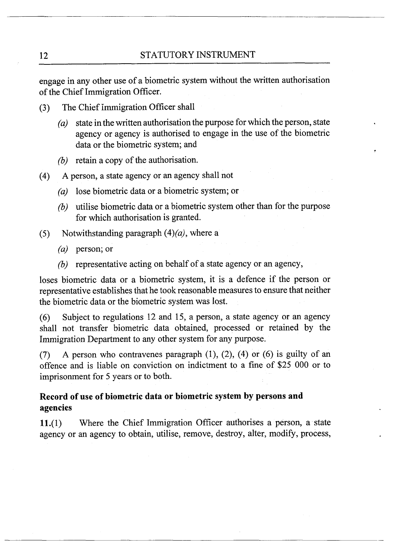engage in any other use of a biometric system without the written authorisation of the Chief Immigration Officer.

- (3) The Chief immigration Officer shall
	- (a) state in the written authorisation the purpose for which the person, state agency or agency is authorised to engage in the use of the biometric data or the biometric system; and
	- (b) retain a copy of the authorisation.
- (4) **A** person, a state agency or an agency shall not
	- (a) lose biometric data or a biometric system; or
	- (b) utilise biometric data or a biometric system other than for the purpose for which authorisation is granted.
- (5) Notwithstanding paragraph  $(4)(a)$ , where a
	- (a) person; or
	- (b) representative acting on behalf of a state agency or an agency,

loses biometric data or a biometric system, it is a defence if the person or representative establishes that he took reasonable measures to ensure that neither the biometric data or the biometric system was lost.

(6) Subject to regulations 12 and 15, a person, a state agency or an agency shall not transfer biometric data obtained, processed or retained by the Immigration Department to any other system for any purpose.

**(7)** A person who contravenes paragraph (I), (2), (4) or (6) is guilty of an offence and is liable on conviction on indictment to a fine of \$25 000 or to imprisonment for 5 years or to both.

# **Record of use of biometric data or biometric system by persons and agencies**

11.(1) Where the Chief Immigration Officer authorises a person, a state agency or an agency to obtain, utilise, remove, destroy, alter, modify, process,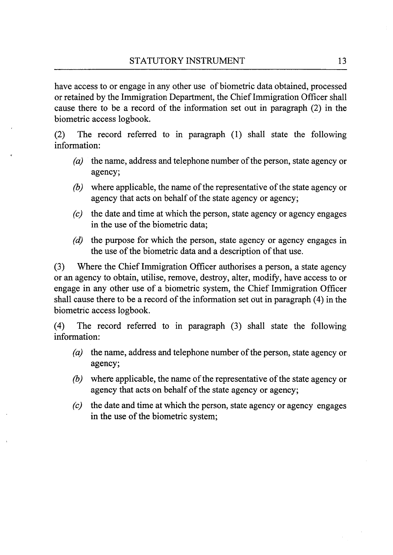have access to or engage in any other use of biometric data obtained, processed or retained by the Immigration Department, the Chief Immigration Officer shall cause there to be a record of the information set out in paragraph (2) in the biometric access logbook.

(2) The record referred to in paragraph (1) shall state the following information:

- *(a)* the name, address and telephone number of the person, state agency or agency;
- (b) where applicable, the name of the representative of the state agency or agency that acts on behalf of the state agency or agency;
- $(c)$  the date and time at which the person, state agency or agency engages in the use of the biometric data;
- $(d)$  the purpose for which the person, state agency or agency engages in the use of the biometric data and a description of that use.

**(3)** Where the Chief Immigration Officer authorises a person, a state agency or an agency to obtain, utilise, remove, destroy, alter, modify, have access to or engage in any other use of a biometric system, the Chief Immigration Officer shall cause there to be a record of the information set out in paragraph (4) in the biometric access logbook.

(4) The record referred to in paragraph (3) shall state the following information:

- *(a)* the name, address and telephone number of the person, state agency or agency;
- (b) where applicable, the name of the representative of the state agency or agency that acts on behalf of the state agency or agency;
- $(c)$  the date and time at which the person, state agency or agency engages in the use of the biometric system;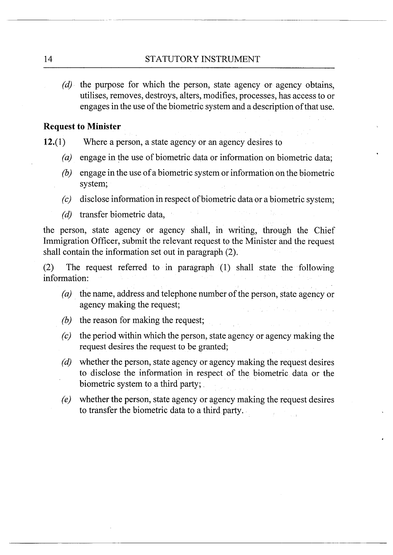*(d)* the purpose for which the person, state agency or agency obtains, utilises, removes, destroys, alters, modifies, processes, has access to or engages in the use of the biometric system and a description of that use.

### **Request to Minister**

- **12.(1)** Where a person, a state agency or an agency desires to
	- *(a)* engage in the use of biometric data or information on biometric data;
	- (b) engage in the use of a biometric system or information on the biometric system;
	- *(c)* disclose information in respect of biometric data or a biometric system;
	- $(d)$  transfer biometric data,

the person, state agency or agency shall, in writing, through the Chief Immigration Officer, submit the relevant request to the Minister and the request shall contain the information set out in paragraph (2).

(2) The request referred to in paragraph (1) shall state the following information:

- *(a)* the name, address and telephone number of the person, state agency or agency making the request;
- (b) the reason for making the request;
- *(c)* the period within which the person, state agency or agency making the request desires the request to be granted;
- $(d)$  whether the person, state agency or agency making the request desires to disclose the information in respect of the biometric data or the biometric system to a third party;
- *(e)* whether the person, state agency or agency making the request desires to transfer the biometric data to a third party.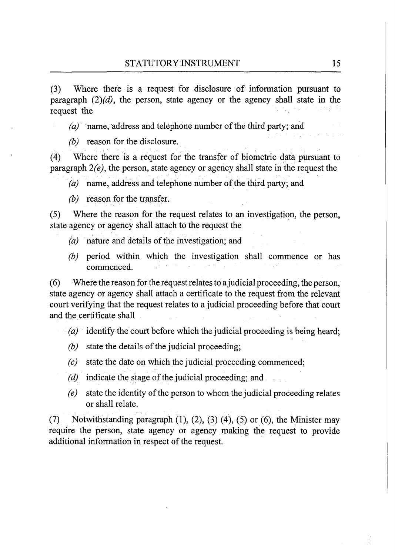(3) Where there is a request for disclosure of information pursuant to paragraph  $(2)(d)$ , the person, state agency or the agency shall state in the request the

*(a)* name, address and telephone number of the third party; and

*(b)* reason for the disclosure.

(4) Where there is a request for the transfer of biometric data pursuant to paragraph  $2(e)$ , the person, state agency or agency shall state in the request the

*(a)* name, address and telephone number of the third party; and

(b) reason for the transfer.

(5) Where the reason for the request relates to an investigation, the person, state agency or agency shall attach to the request the

- (a) nature and details of the investigation; and
- $(b)$  period within which the investigation shall commence or has commenced.

(6) Where the reason for the request relates to a judicial proceeding, the person, state agency or agency shall attach a certificate to the request from the relevant court verifying that the request relates to a judicial proceeding before that court and the certificate shall

*(a)* identify the court before which the judicial proceeding is being heard;

- $(b)$  state the details of the judicial proceeding;
- (c) state the date on which the judicial proceeding commenced;
- (d) indicate the stage of the judicial proceeding; and
- $(e)$  state the identity of the person to whom the judicial proceeding relates or shall relate.

(7) Notwithstanding paragraph (I), (2), **(3)** (4), (5) or (6), the Minister may require the person, state agency or agency making the request to provide additional information in respect of the request.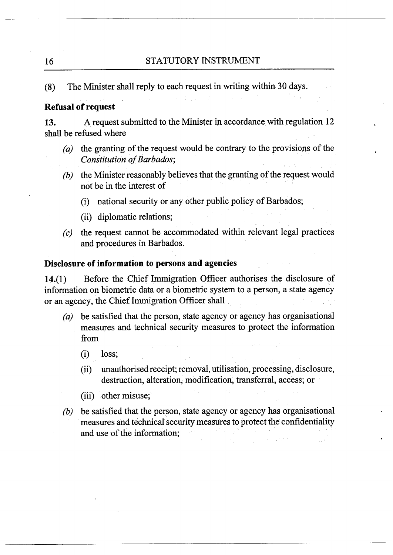**(8)** The Minister shall reply to each request in writing within 30 days.

### **Refusal of request**

**13.** A request submitted to the Minister in accordance with regulation 12 shall be refused where

- *(a)* the granting of the request would be contrary to the provisions of the Constitution of Barbados;
- $(b)$  the Minister reasonably believes that the granting of the request would not be in the interest of
	- (i) national security or any other public policy of Barbados;
	- (ii) diplomatic relations;
- (c) the request cannot be accommodated within relevant legal practices and procedures in Barbados.

## **Disclosure of information to persons and agencies**

14.(1) Before the Chief Immigration Officer authorises the disclosure of information on biometric data or a biometric system to a person, a state agency or an agency, the Chief Immigration Officer shall

- *(a)* be satisfied that the person, state agency or agency has organisational measures and technical security measures to protect the information from
	- (i) loss;
	- (ii) unauthorised receipt; removal, utilisation, processing, disclosure, destruction, alteration, modification, transferral, access; or
	- (iii) other misuse;
- (6) be satisfied that the person, state agency or agency has organisational measures and technical security measures to protect the confidentiality and use of the information;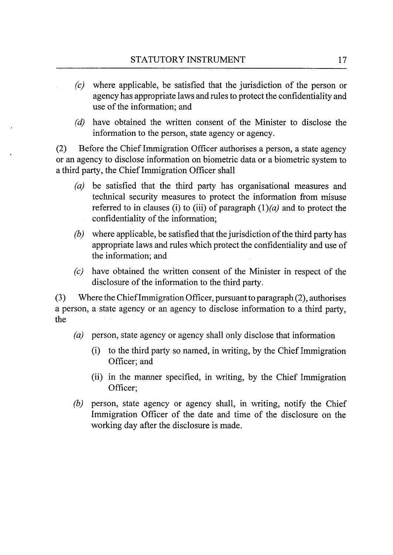- **(c)** where applicable, be satisfied that the jurisdiction of the person or agency has appropriate laws and rules to protect the confidentiality and use of the information; and
- $(d)$  have obtained the written consent of the Minister to disclose the information to the person, state agency or agency.

(2) Before the Chief Immigration Officer authorises a person, a state agency or an agency to disclose information on biometric data or a biometric system to a third party, the Chief Immigration Officer shall

- (a) be satisfied that the third party has organisational measures and technical security measures to protect the information from misuse referred to in clauses (i) to (iii) of paragraph  $(1)(a)$  and to protect the confidentiality of the information;
- $(b)$  where applicable, be satisfied that the jurisdiction of the third party has appropriate laws and rules which protect the confidentiality and use of the information; and
- have obtained the written consent of the Minister in respect of the  $(c)$ disclosure of the information to the third party.

(3) Where the Chief Immigration Officer, pursuant to paragraph (2), authorises a person, a state agency or an agency to disclose information to a third party, the

- (a) person, state agency or agency shall only disclose that information
	- (i) to the third party so named, in writing, by the Chief Immigration Officer; and
	- (ii) in the manner specified, in writing, by the Chief Immigration Officer;
- (b) person, state agency or agency shall, in writing, notify the Chief Immigration Officer of the date and time of the disclosure on the working day after the disclosure is made.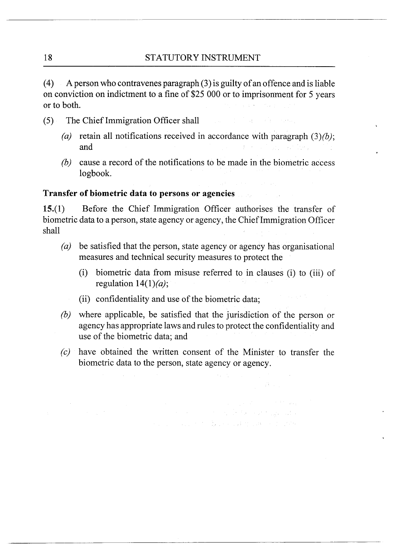(4) A person who contravenes paragraph (3) is guilty of an offence and is liable on conviction on indictment to a fine of \$25 000 or to imprisonment for 5 years or to both.

- *(5)* The Chief Immigration Officer shall
	- (a) retain all notifications received in accordance with paragraph *(3)(b);*  and
	- (b) cause a record of the notifications to be made in the biometric access logbook.

# **Transfer of biornetric data to persons or agencies**

15.(1) Before the Chief Immigration Officer authorises the transfer of biometric data to a person, state agency or agency, the Chief Immigration Officer shall

- be satisfied that the person, state agency or agency has organisational  $(a)$ measures and technical security measures to protect the
	- (i) biometric data from misuse referred to in clauses (i) to (iii) of regulation  $14(1)(a)$ ;
	- (ii) confidentiality and use of the biometric data;
- $(b)$ where applicable, be satisfied that the jurisdiction of the person or agency has appropriate laws and rules to protect the confidentiality and use of the biometric data; and
- have obtained the written consent of the Minister to transfer the  $(c)$ biometric data to the person, state agency or agency.

ali sa

and the company of the company of the company of the company of the company of the company of the company of the company of the company of the company of the company of the company of the company of the company of the comp and the company of the Market and Market and Control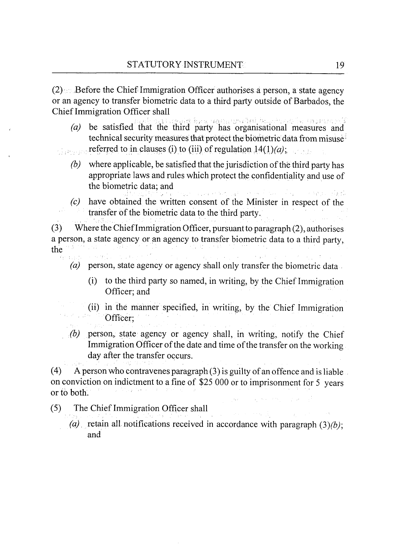$(2)$  Before the Chief Immigration Officer authorises a person, a state agency or an agency to transfer biometric data to a third party outside of Barbados, the Chief Immigration Officer shall

- (a) be satisfied that the third party has organisational measures and technical security measures that protect the biometric data from misuse
- referred to in clauses (i) to (iii) of regulation  $14(1)(a)$ ;
	- (b) where applicable, be satisfied that the jurisdiction of the third party has appropriate laws and rules which protect the confidentiality and use of the biometric data; and
	- (c) have obtained the written consent of the Minister in respect of the transfer of the biometric data to the third party.

(3) Where the Chief Immigration Officer, pursuant to paragraph (2), authorises a person, a state agency or an agency to transfer biometric data to a third party, the

- (a) person, state agency or agency shall only transfer the biometric data.
	- (i) to the third party so named, in writing, by the Chief Immigration Officer; and
	- (ii) in the manner specified, in writing, by the Chief Immigration Officer;
- (b) person, state agency or agency shall, in writing, notify the Chief Immigration Officer of the date and time of the transfer on the working day after the transfer occurs.

(4) A person who contravenes paragraph  $(3)$  is guilty of an offence and is liable. on conviction on indictment to a fine of \$25 000 or to imprisonment for 5 years or to both.

- **(5)** The Chief Immigration Officer shall
	- (a) retain all notifications received in accordance with paragraph *(3)(b);*  and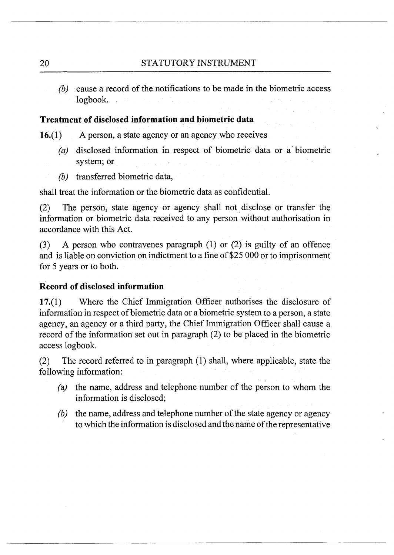(b) cause a record of the notifications to be made in the biometric access logbook.

# **Treatment of disclosed information and biometric data**

 $16.(1)$  A person, a state agency or an agency who receives

- *(a)* disclosed information in respect of biometric data or a biometric system; or
- (b) transferred biometric data,

shall treat the information or the biometric data as confidential.

(2) The person, state agency or agency shall not disclose or transfer the information or biometric data received to any person without authorisation in accordance with this Act.

(3) A person who contravenes paragraph (1) or (2) is guilty of an offence and is liable on conviction on indictment to a fine of \$25 000 or to imprisonment for 5 years or to both.

## **Record of disclosed information**

17.(1) Where the Chief Immigration Officer authorises the disclosure of information in respect of biometric data or a biometric system to a person, a state agency, an agency or a third party, the Chief Immigration Officer shall cause a record of the information set out in paragraph (2) to be placed in the biometric access logbook.

(2) The record referred to in paragraph (1) shall, where applicable, state the following information:

- (a) the name, address and telephone number of the person to whom the information is disclosed;
- (b) the name, address and telephone number of the state agency or agency to which the information is disclosed and the name of the representative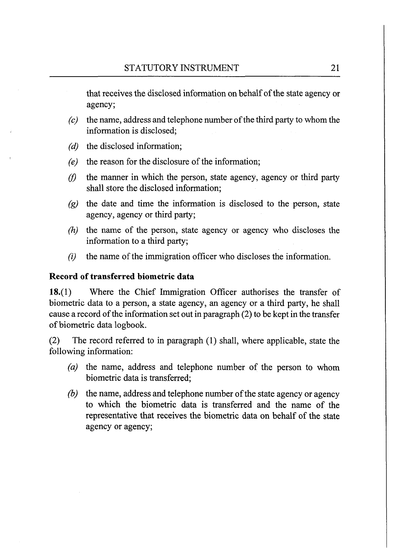that receives the disclosed information on behalf of the state agency or agency;

- $(c)$  the name, address and telephone number of the third party to whom the information is disclosed;
- $(d)$  the disclosed information;
- *(e)* the reason for the disclosure of the information;
- $(f)$ the manner in which the person, state agency, agency or third party shall store the disclosed information;
- *(g)* the date and time the information is disclosed to the person, state agency, agency or third party;
- (h) the name of the person, state agency or agency who discloses the information to a third party;
- $(i)$  the name of the immigration officer who discloses the information.

# **Record of transferred biometric data**

**18.(1)** Where the Chief Immigration Officer authorises the transfer of biometric data to a person, a state agency, an agency or a third party, he shall cause a record of the inforination set out in paragraph (2) to be kept in the transfer of biometric data logbook.

(2) The record referred to in paragraph (1) shall, where applicable, state the following information:

- *(a)* the name, address and telephone number of the person to whom biometric data is transferred;
- *(b)* the name, address and telephone number of the state agency or agency to which the biometric data is transferred and the name of the representative that receives the biometric data on behalf of the state agency or agency;